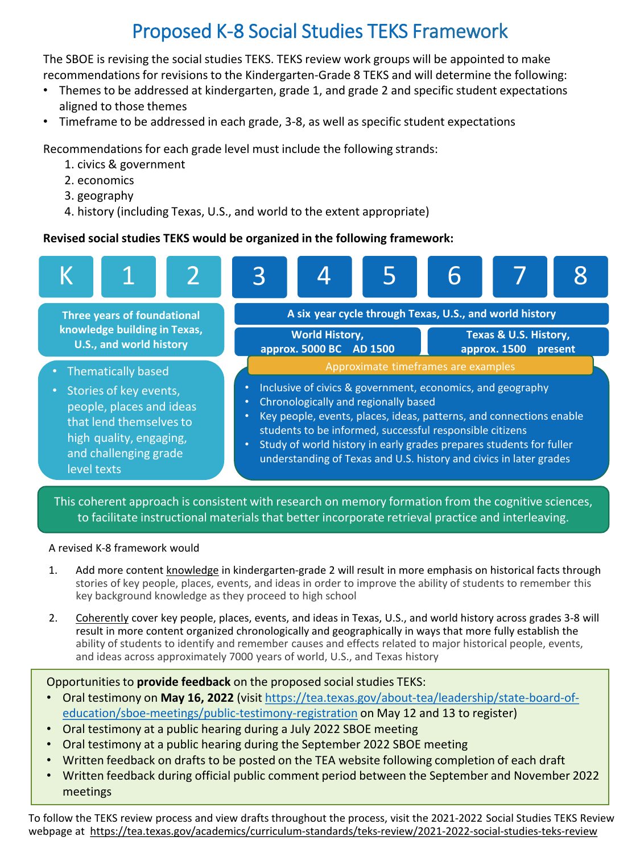## Proposed K-8 Social Studies TEKS Framework

 The SBOE is revising the social studies TEKS. TEKS review work groups will be appointed to make recommendations for revisions to the Kindergarten-Grade 8 TEKS and will determine the following:

- • Themes to be addressed at kindergarten, grade 1, and grade 2 and specific student expectations aligned to those themes
- Timeframe to be addressed in each grade, 3-8, as well as specific student expectations

Recommendations for each grade level must include the following strands:

- 1. civics & government
- 2. economics
- 3. geography
- 4. history (including Texas, U.S., and world to the extent appropriate)

## **Revised social studies TEKS would be organized in the following framework:**



 This coherent approach is consistent with research on memory formation from the cognitive sciences, to facilitate instructional materials that better incorporate retrieval practice and interleaving.

## A revised K-8 framework would

- 1. Add more content knowledge in kindergarten-grade 2 will result in more emphasis on historical facts through stories of key people, places, events, and ideas in order to improve the ability of students to remember this key background knowledge as they proceed to high school
- 2. Coherently cover key people, places, events, and ideas in Texas, U.S., and world history across grades 3-8 will result in more content organized chronologically and geographically in ways that more fully establish the ability of students to identify and remember causes and effects related to major historical people, events, and ideas across approximately 7000 years of world, U.S., and Texas history

Opportunities to **provide feedback** on the proposed social studies TEKS:

- Oral testimony on **May 16, 2022** (visit <https://tea.texas.gov/about-tea/leadership/state-board-of>[education/sboe-meetings/public-testimony-registration on May 12 and 13 to register\)](https://tea.texas.gov/about-tea/leadership/state-board-of-education/sboe-meetings/public-testimony-registration)
- Oral testimony at a public hearing during a July 2022 SBOE meeting
- Oral testimony at a public hearing during the September 2022 SBOE meeting
- Written feedback on drafts to be posted on the TEA website following completion of each draft
- Written feedback during official public comment period between the September and November 2022 meetings

 To follow the TEKS review process and view drafts throughout the process, visit the 2021-2022 Social Studies TEKS Review webpage at <https://tea.texas.gov/academics/curriculum-standards/teks-review/2021-2022-social-studies-teks-review>